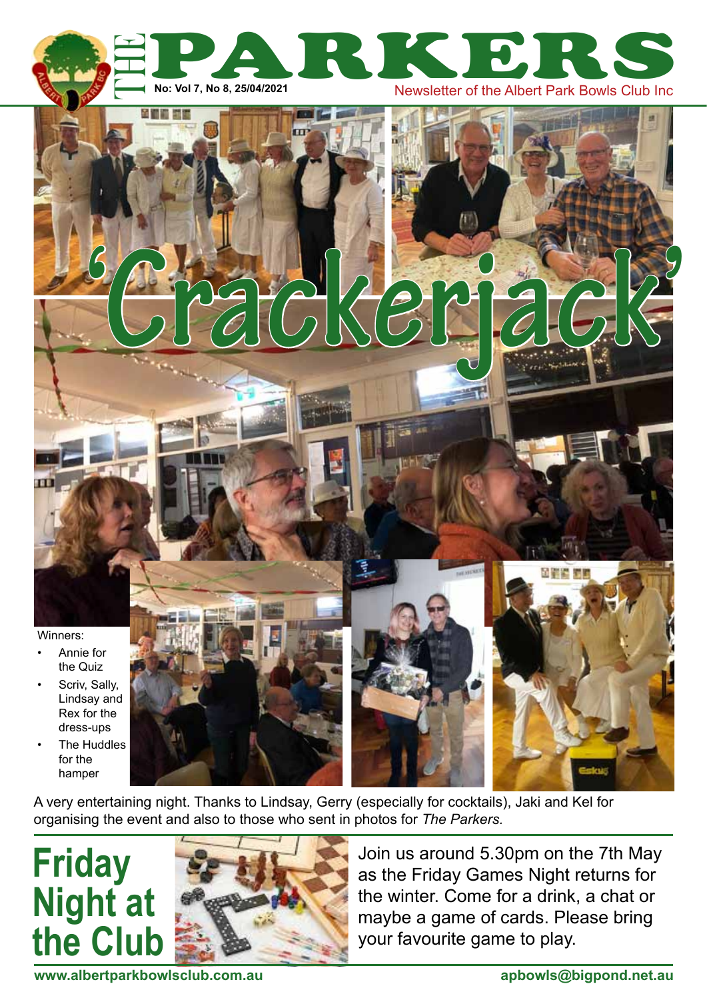

# **'Crackerjack'**

**STILL STILL** 

#### Winners:

- Annie for the Quiz
- Scriv, Sally, Lindsay and Rex for the dress-ups
- **The Huddles** for the hamper



A very entertaining night. Thanks to Lindsay, Gerry (especially for cocktails), Jaki and Kel for organising the event and also to those who sent in photos for *The Parkers.*





Join us around 5.30pm on the 7th May as the Friday Games Night returns for the winter. Come for a drink, a chat or maybe a game of cards. Please bring your favourite game to play.

**www.albertparkbowlsclub.com.au apbowls@bigpond.net.au**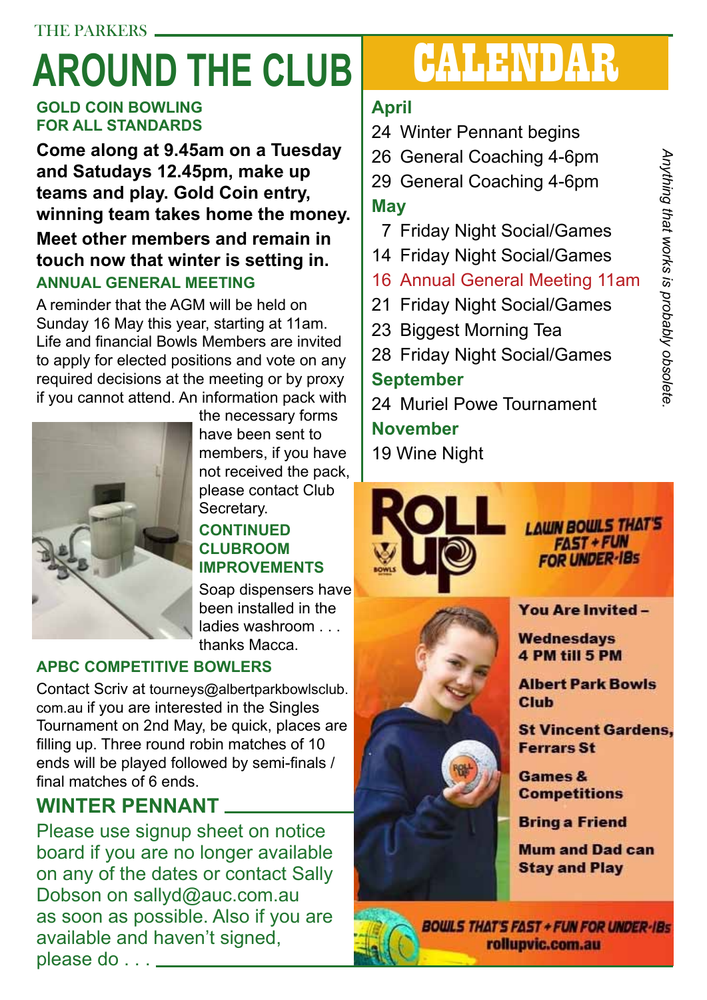## **around the club**

#### **Gold Coin Bowling for all standards**

**Come along at 9.45am on a Tuesday and Satudays 12.45pm, make up teams and play. Gold Coin entry, winning team takes home the money. Meet other members and remain in touch now that winter is setting in.**

#### **Annual General Meeting**

A reminder that the AGM will be held on Sunday 16 May this year, starting at 11am. Life and financial Bowls Members are invited to apply for elected positions and vote on any required decisions at the meeting or by proxy if you cannot attend. An information pack with



the necessary forms have been sent to members, if you have not received the pack, please contact Club Secretary.

#### **continued clubroom improvements**

Soap dispensers have been installed in the ladies washroom . . . thanks Macca.

#### **APBC Competitive Bowlers**

Contact Scriv at tourneys@albertparkbowlsclub. com.au if you are interested in the Singles Tournament on 2nd May, be quick, places are filling up. Three round robin matches of 10 ends will be played followed by semi-finals / final matches of 6 ends.

#### **Winter Pennant**

Please use signup sheet on notice board if you are no longer available on any of the dates or contact Sally Dobson on sallyd@auc.com.au as soon as possible. Also if you are available and haven't signed, please do . . . <u>. . .</u>

# calendar

#### **April**

- 24 Winter Pennant begins
- 26 General Coaching 4-6pm
- 29 General Coaching 4-6pm **May** 
	- 7 Friday Night Social/Games
- 14 Friday Night Social/Games
- 16 Annual General Meeting 11am
- 21 Friday Night Social/Games
- 23 Biggest Morning Tea
- 28 Friday Night Social/Games

#### **September**

24 Muriel Powe Tournament

#### **November**

19 Wine Night



**LAUIN BOULS THAT'S FAST + FUN FOR UNDER-185** 

You Are Invited -

**Wednesdays** 4 PM till 5 PM

**Albert Park Bowls Club** 

**St Vincent Gardens. Ferrars St** 

**Games & Competitions** 

**Bring a Friend** 

**Mum and Dad can Stay and Play** 



**BOUILS THAT'S FAST + FUN FOR UNDER-IBS** rollupvic.com.au